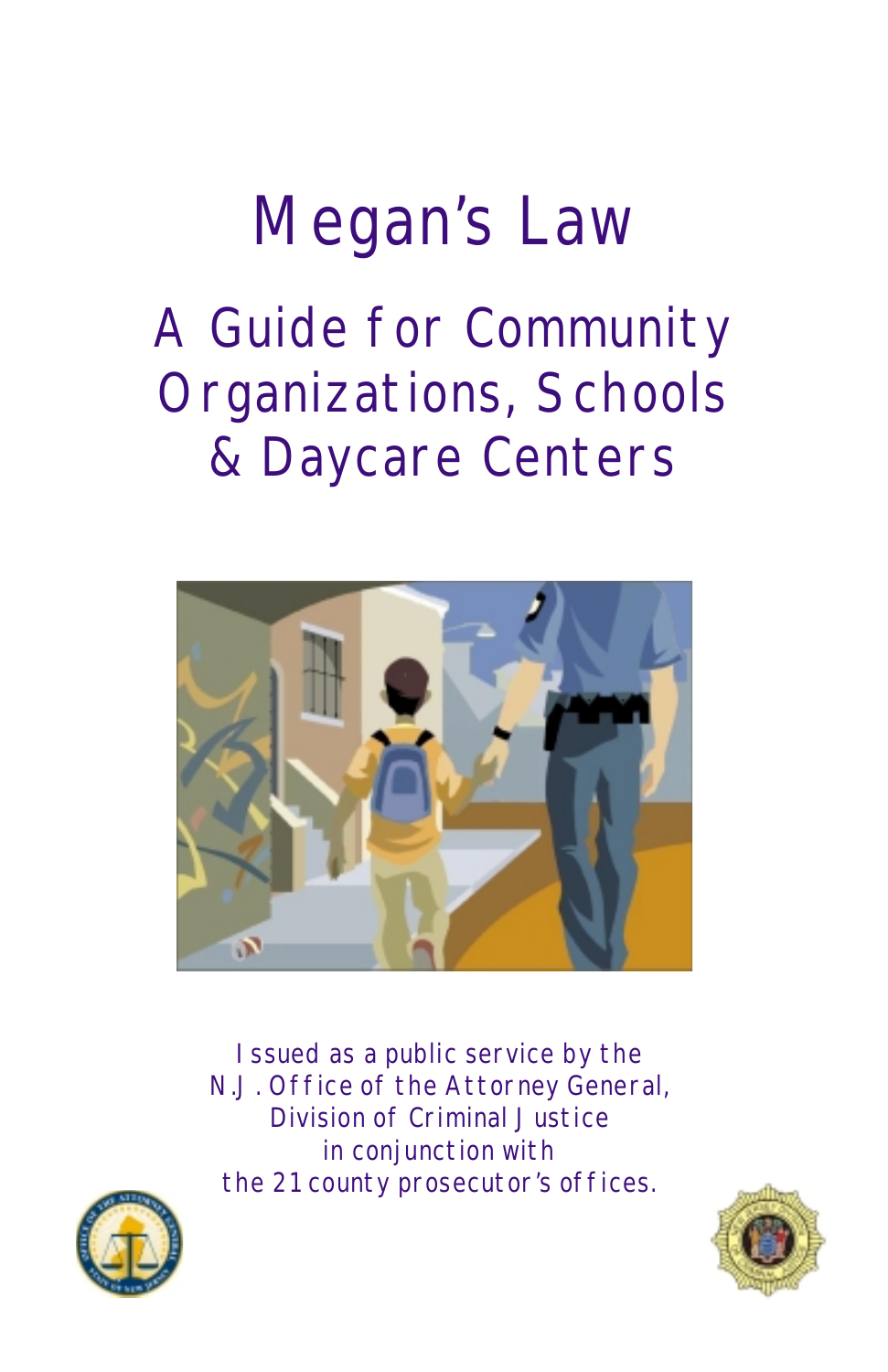# Megan's Law

A Guide for Community Organizations, Schools & Daycare Centers



Issued as a public service by the N.J. Office of the Attorney General, Division of Criminal Justice in conjunction with the 21 county prosecutor's offices.



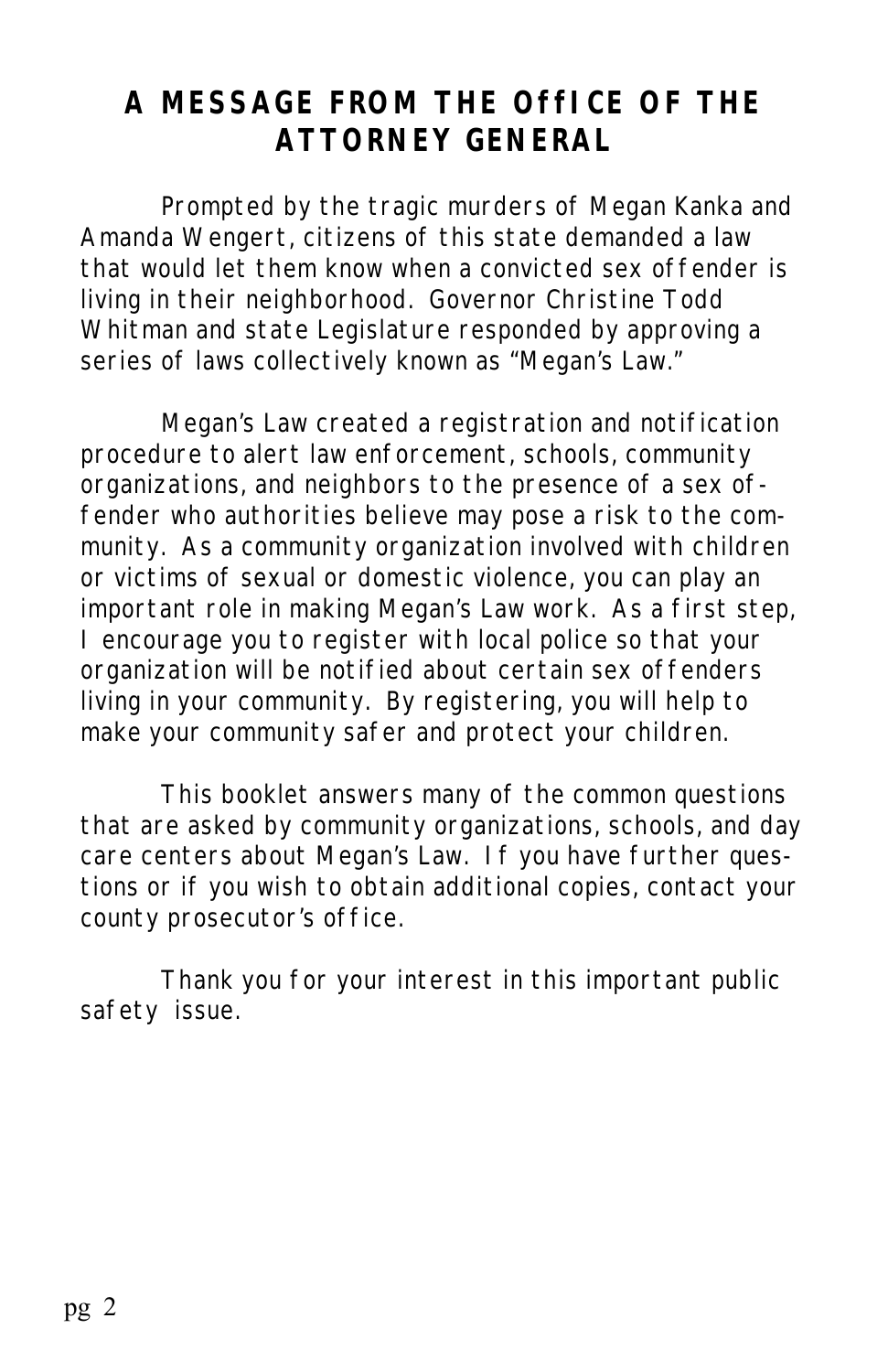## **A MESSAGE FROM THE OffICE OF THE ATTORNEY GENERAL**

Prompted by the tragic murders of Megan Kanka and Amanda Wengert, citizens of this state demanded a law that would let them know when a convicted sex offender is living in their neighborhood. Governor Christine Todd Whitman and state Legislature responded by approving a series of laws collectively known as "Megan's Law."

Megan's Law created a registration and notification procedure to alert law enforcement, schools, community organizations, and neighbors to the presence of a sex offender who authorities believe may pose a risk to the community. As a community organization involved with children or victims of sexual or domestic violence, you can play an important role in making Megan's Law work. As a first step, I encourage you to register with local police so that your organization will be notified about certain sex offenders living in your community. By registering, you will help to make your community safer and protect your children.

This booklet answers many of the common questions that are asked by community organizations, schools, and day care centers about Megan's Law. If you have further questions or if you wish to obtain additional copies, contact your county prosecutor's office.

Thank you for your interest in this important public safety issue.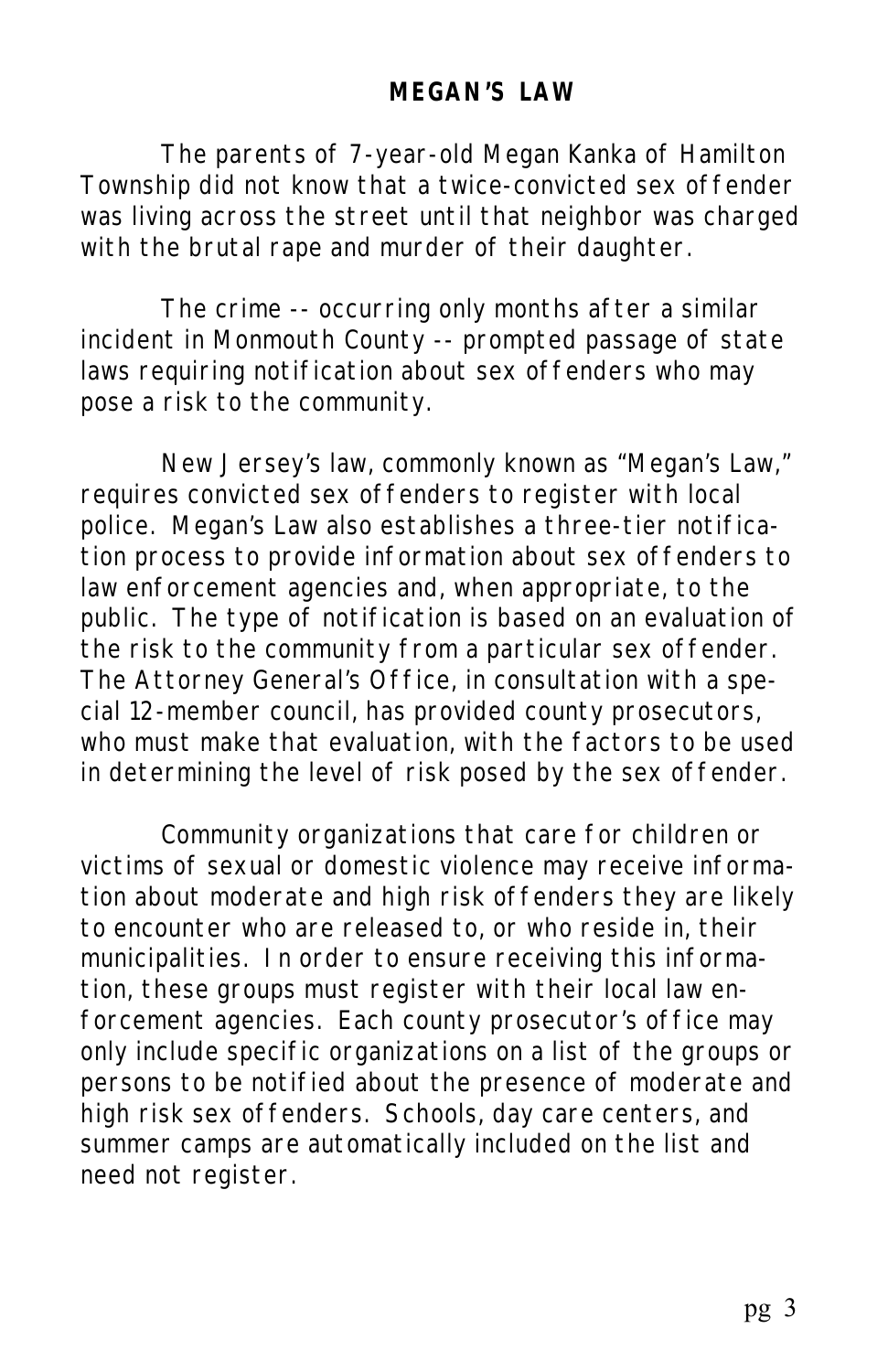## **MEGAN'S LAW**

The parents of 7-year-old Megan Kanka of Hamilton Township did not know that a twice-convicted sex offender was living across the street until that neighbor was charged with the brutal rape and murder of their daughter.

The crime -- occurring only months after a similar incident in Monmouth County -- prompted passage of state laws requiring notification about sex offenders who may pose a risk to the community.

New Jersey's law, commonly known as "Megan's Law," requires convicted sex offenders to register with local police. Megan's Law also establishes a three-tier notification process to provide information about sex offenders to law enforcement agencies and, when appropriate, to the public. The type of notification is based on an evaluation of the risk to the community from a particular sex offender. The Attorney General's Office, in consultation with a special 12-member council, has provided county prosecutors, who must make that evaluation, with the factors to be used in determining the level of risk posed by the sex offender.

Community organizations that care for children or victims of sexual or domestic violence may receive information about moderate and high risk offenders they are likely to encounter who are released to, or who reside in, their municipalities. In order to ensure receiving this information, these groups must register with their local law enforcement agencies. Each county prosecutor's office may only include specific organizations on a list of the groups or persons to be notified about the presence of moderate and high risk sex offenders. Schools, day care centers, and summer camps are automatically included on the list and need not register.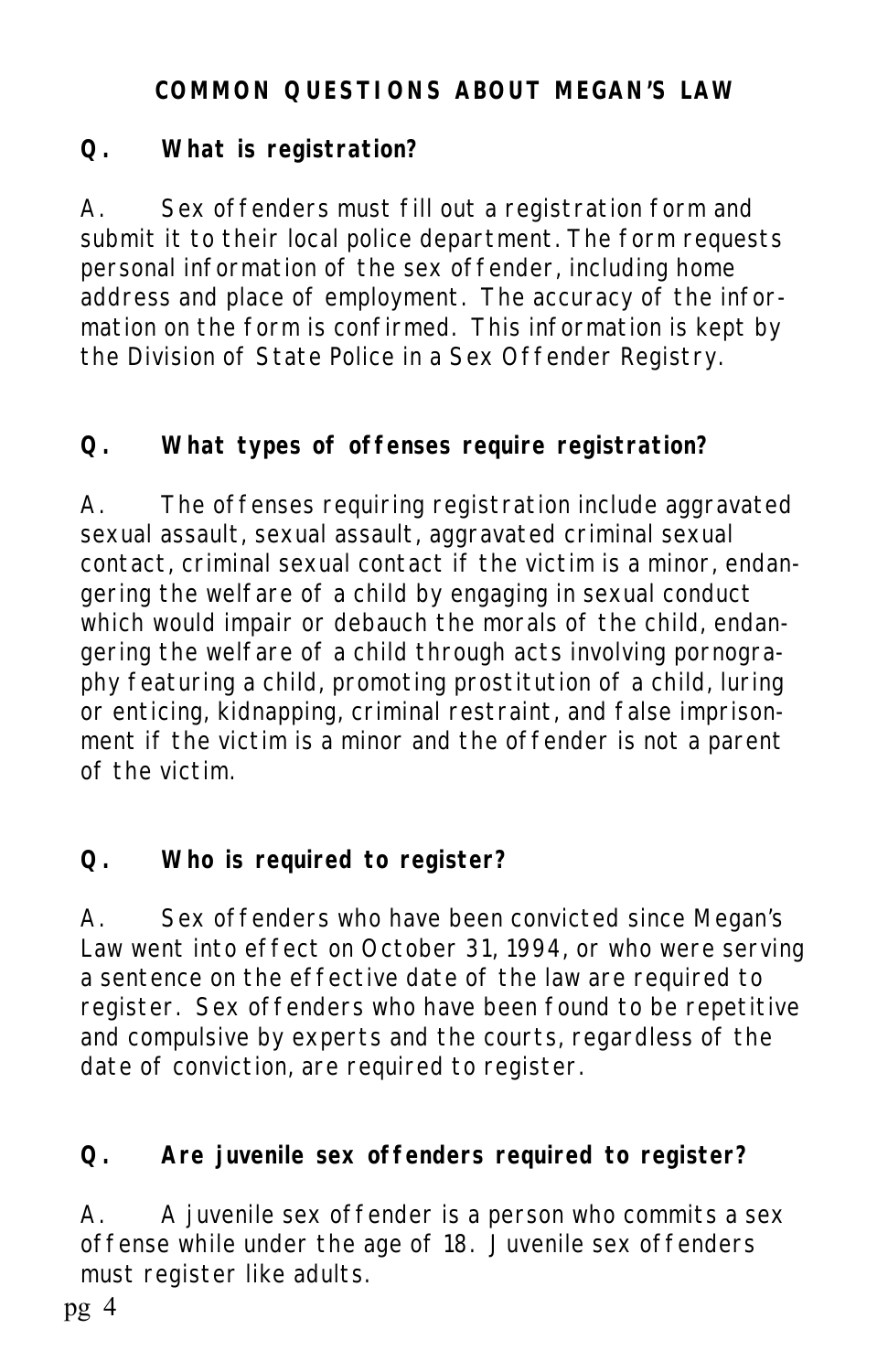## **COMMON QUESTIONS ABOUT MEGAN'S LAW**

## **Q. What is registration?**

A. Sex offenders must fill out a registration form and submit it to their local police department. The form requests personal information of the sex offender, including home address and place of employment. The accuracy of the information on the form is confirmed. This information is kept by the Division of State Police in a Sex Offender Registry.

## **Q. What types of offenses require registration?**

A. The offenses requiring registration include aggravated sexual assault, sexual assault, aggravated criminal sexual contact, criminal sexual contact if the victim is a minor, endangering the welfare of a child by engaging in sexual conduct which would impair or debauch the morals of the child, endangering the welfare of a child through acts involving pornography featuring a child, promoting prostitution of a child, luring or enticing, kidnapping, criminal restraint, and false imprisonment if the victim is a minor and the offender is not a parent of the victim.

## **Q. Who is required to register?**

A. Sex offenders who have been convicted since Megan's Law went into effect on October 31, 1994, or who were serving a sentence on the effective date of the law are required to register. Sex offenders who have been found to be repetitive and compulsive by experts and the courts, regardless of the date of conviction, are required to register.

## **Q. Are juvenile sex offenders required to register?**

A. A juvenile sex offender is a person who commits a sex offense while under the age of 18. Juvenile sex offenders must register like adults.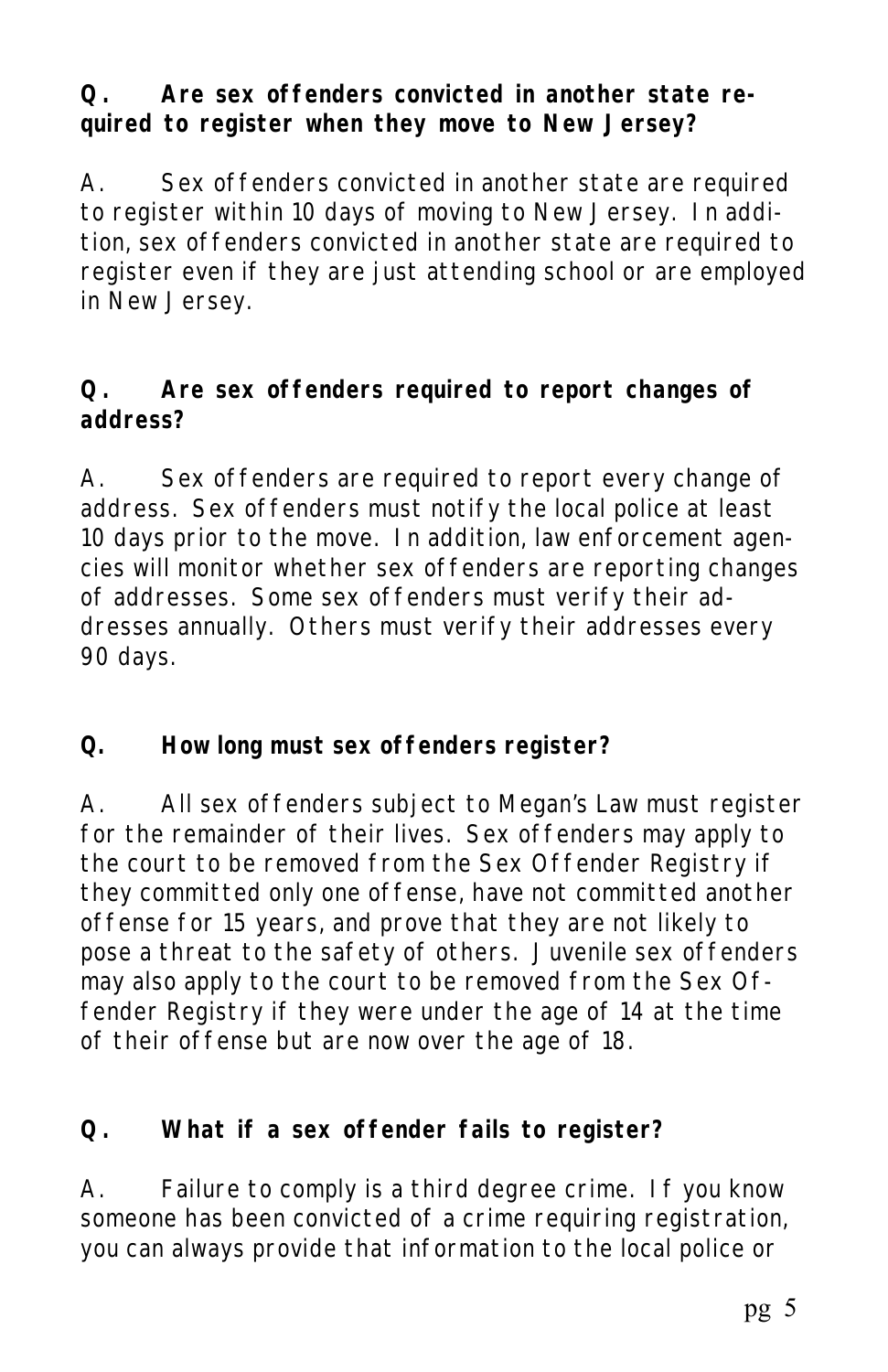## **Q. Are sex offenders convicted in another state required to register when they move to New Jersey?**

A. Sex offenders convicted in another state are required to register within 10 days of moving to New Jersey. In addition, sex offenders convicted in another state are required to register even if they are just attending school or are employed in New Jersey.

## **Q. Are sex offenders required to report changes of address?**

A. Sex offenders are required to report every change of address. Sex offenders must notify the local police at least 10 days prior to the move. In addition, law enforcement agencies will monitor whether sex offenders are reporting changes of addresses. Some sex offenders must verify their addresses annually. Others must verify their addresses every 90 days.

## **Q. How long must sex offenders register?**

A. All sex offenders subject to Megan's Law must register for the remainder of their lives. Sex offenders may apply to the court to be removed from the Sex Offender Registry if they committed only one offense, have not committed another offense for 15 years, and prove that they are not likely to pose a threat to the safety of others. Juvenile sex offenders may also apply to the court to be removed from the Sex Offender Registry if they were under the age of 14 at the time of their offense but are now over the age of 18.

## **Q. What if a sex offender fails to register?**

A. Failure to comply is a third degree crime. If you know someone has been convicted of a crime requiring registration, you can always provide that information to the local police or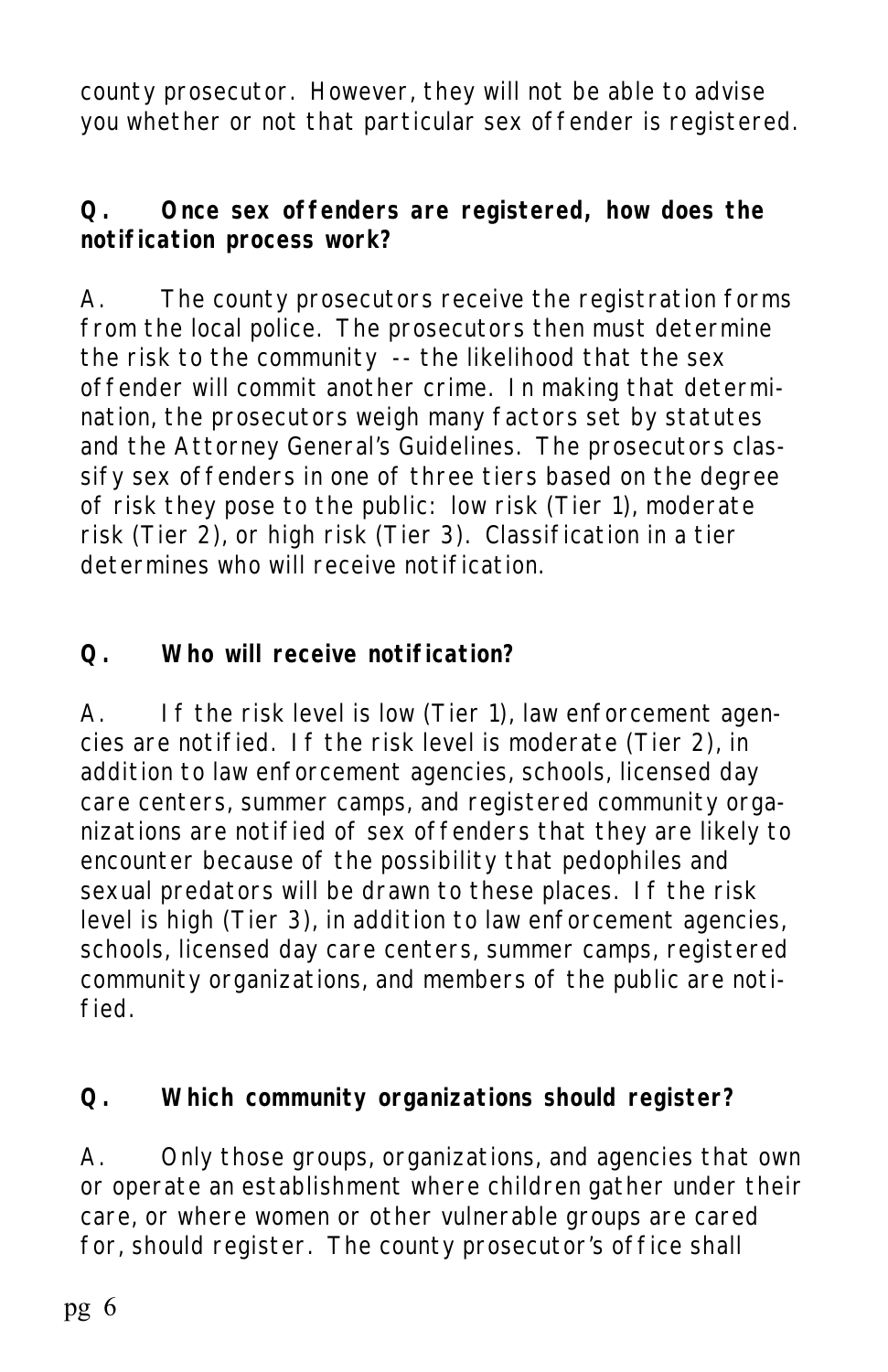county prosecutor. However, they will not be able to advise you whether or not that particular sex offender is registered.

## **Q. Once sex offenders are registered, how does the notification process work?**

A. The county prosecutors receive the registration forms from the local police. The prosecutors then must determine the risk to the community -- the likelihood that the sex offender will commit another crime. In making that determination, the prosecutors weigh many factors set by statutes and the Attorney General's Guidelines. The prosecutors classify sex offenders in one of three tiers based on the degree of risk they pose to the public: low risk (Tier 1), moderate risk (Tier 2), or high risk (Tier 3). Classification in a tier determines who will receive notification.

## **Q. Who will receive notification?**

A. If the risk level is low (Tier 1), law enforcement agencies are notified. If the risk level is moderate (Tier 2), in addition to law enforcement agencies, schools, licensed day care centers, summer camps, and registered community organizations are notified of sex offenders that they are likely to encounter because of the possibility that pedophiles and sexual predators will be drawn to these places. If the risk level is high (Tier 3), in addition to law enforcement agencies, schools, licensed day care centers, summer camps, registered community organizations, and members of the public are notified.

## **Q. Which community organizations should register?**

A. Only those groups, organizations, and agencies that own or operate an establishment where children gather under their care, or where women or other vulnerable groups are cared for, should register. The county prosecutor's office shall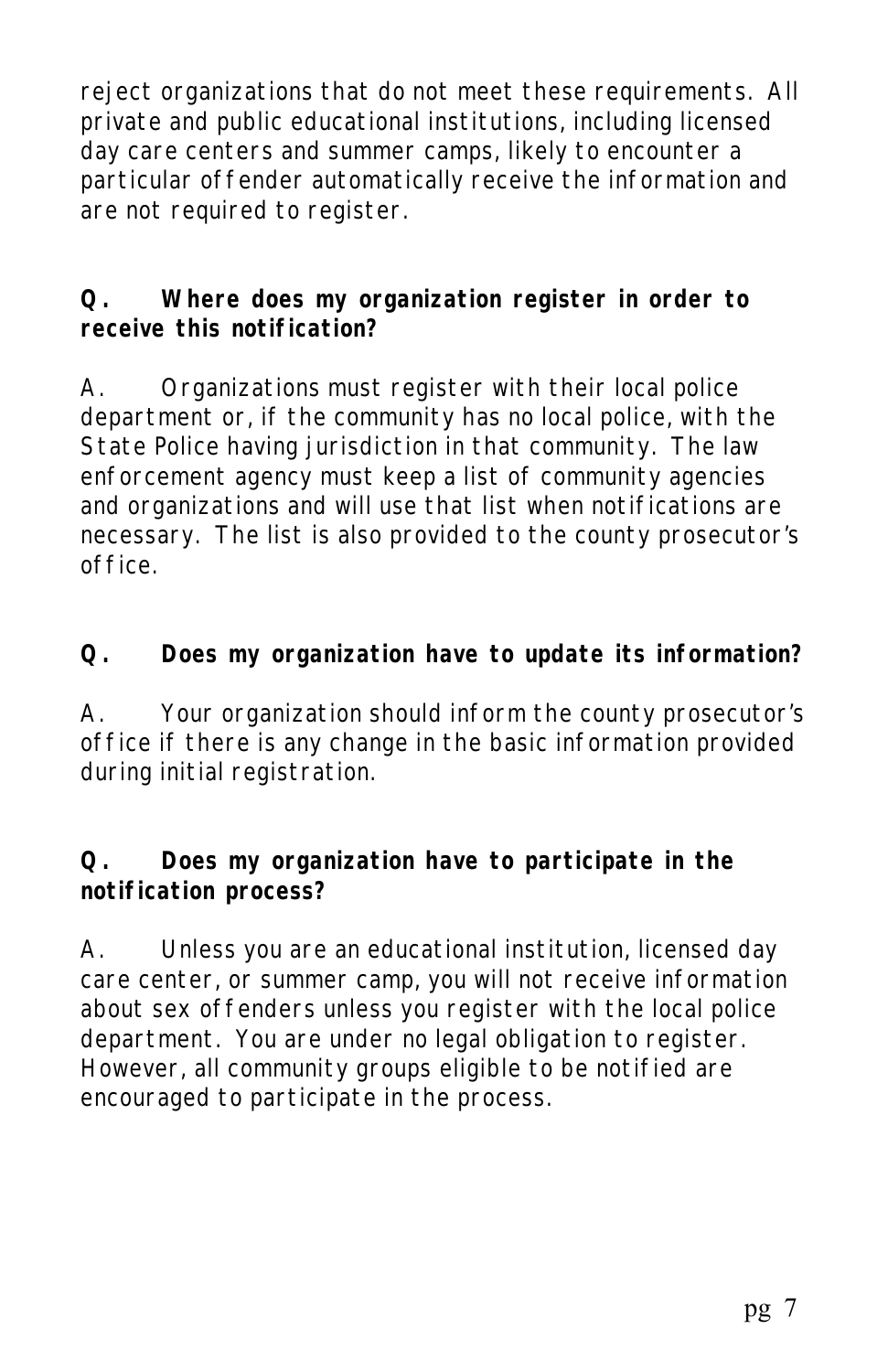reject organizations that do not meet these requirements. All private and public educational institutions, including licensed day care centers and summer camps, likely to encounter a particular offender automatically receive the information and are not required to register.

## **Q. Where does my organization register in order to receive this notification?**

A. Organizations must register with their local police department or, if the community has no local police, with the State Police having jurisdiction in that community. The law enforcement agency must keep a list of community agencies and organizations and will use that list when notifications are necessary. The list is also provided to the county prosecutor's office.

## **Q. Does my organization have to update its information?**

A. Your organization should inform the county prosecutor's office if there is any change in the basic information provided during initial registration.

## **Q. Does my organization have to participate in the notification process?**

A. Unless you are an educational institution, licensed day care center, or summer camp, you will not receive information about sex offenders unless you register with the local police department. You are under no legal obligation to register. However, all community groups eligible to be notified are encouraged to participate in the process.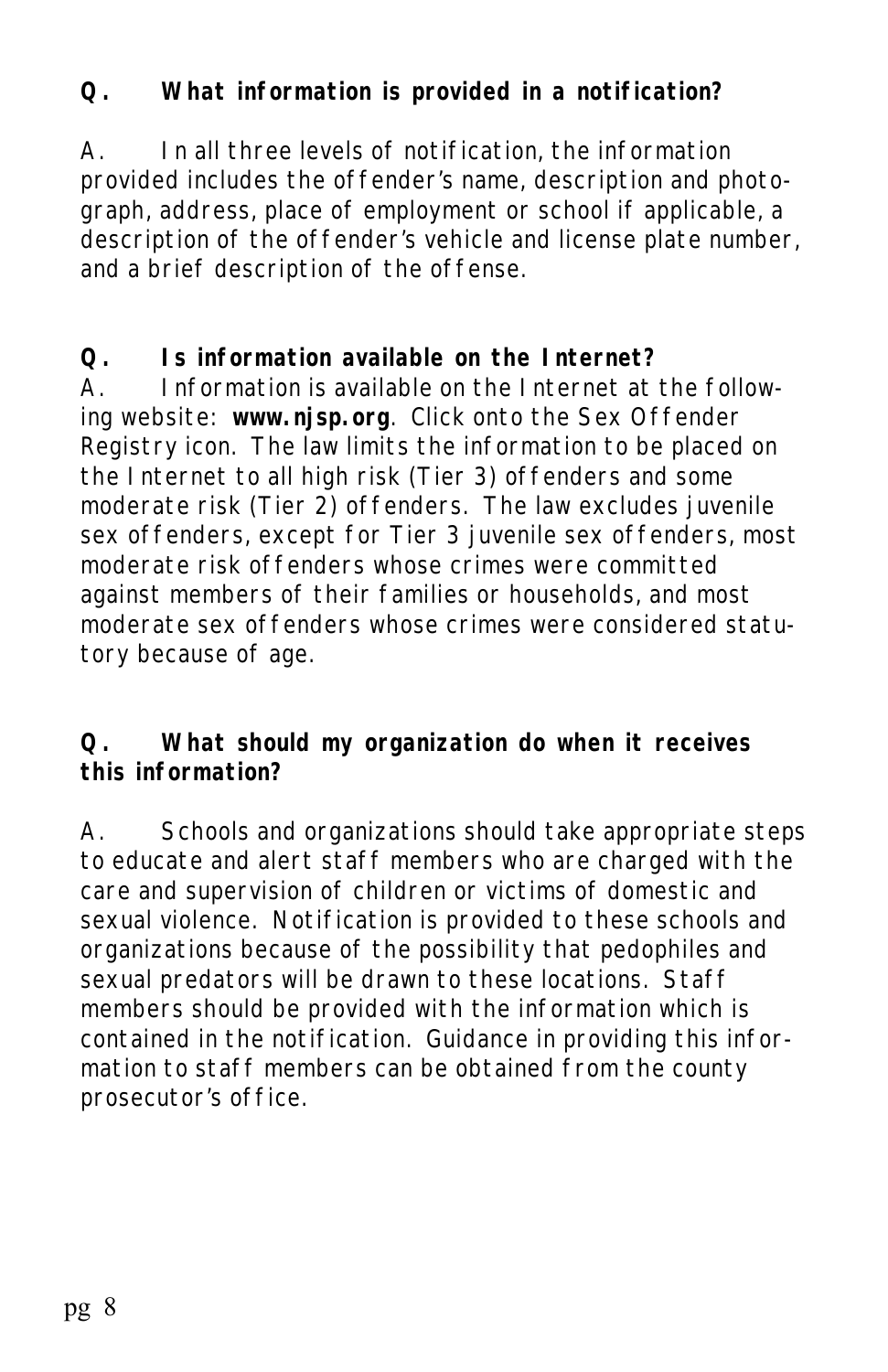## **Q. What information is provided in a notification?**

A. In all three levels of notification, the information provided includes the offender's name, description and photograph, address, place of employment or school if applicable, a description of the offender's vehicle and license plate number, and a brief description of the offense.

## **Q. Is information available on the Internet?**

A. Information is available on the Internet at the following website: **www.njsp.org**. Click onto the Sex Offender Registry icon. The law limits the information to be placed on the Internet to all high risk (Tier 3) offenders and some moderate risk (Tier 2) offenders. The law excludes juvenile sex offenders, except for Tier 3 juvenile sex offenders, most moderate risk offenders whose crimes were committed against members of their families or households, and most moderate sex offenders whose crimes were considered statutory because of age.

## **Q. What should my organization do when it receives this information?**

A. Schools and organizations should take appropriate steps to educate and alert staff members who are charged with the care and supervision of children or victims of domestic and sexual violence. Notification is provided to these schools and organizations because of the possibility that pedophiles and sexual predators will be drawn to these locations. Staff members should be provided with the information which is contained in the notification. Guidance in providing this information to staff members can be obtained from the county prosecutor's office.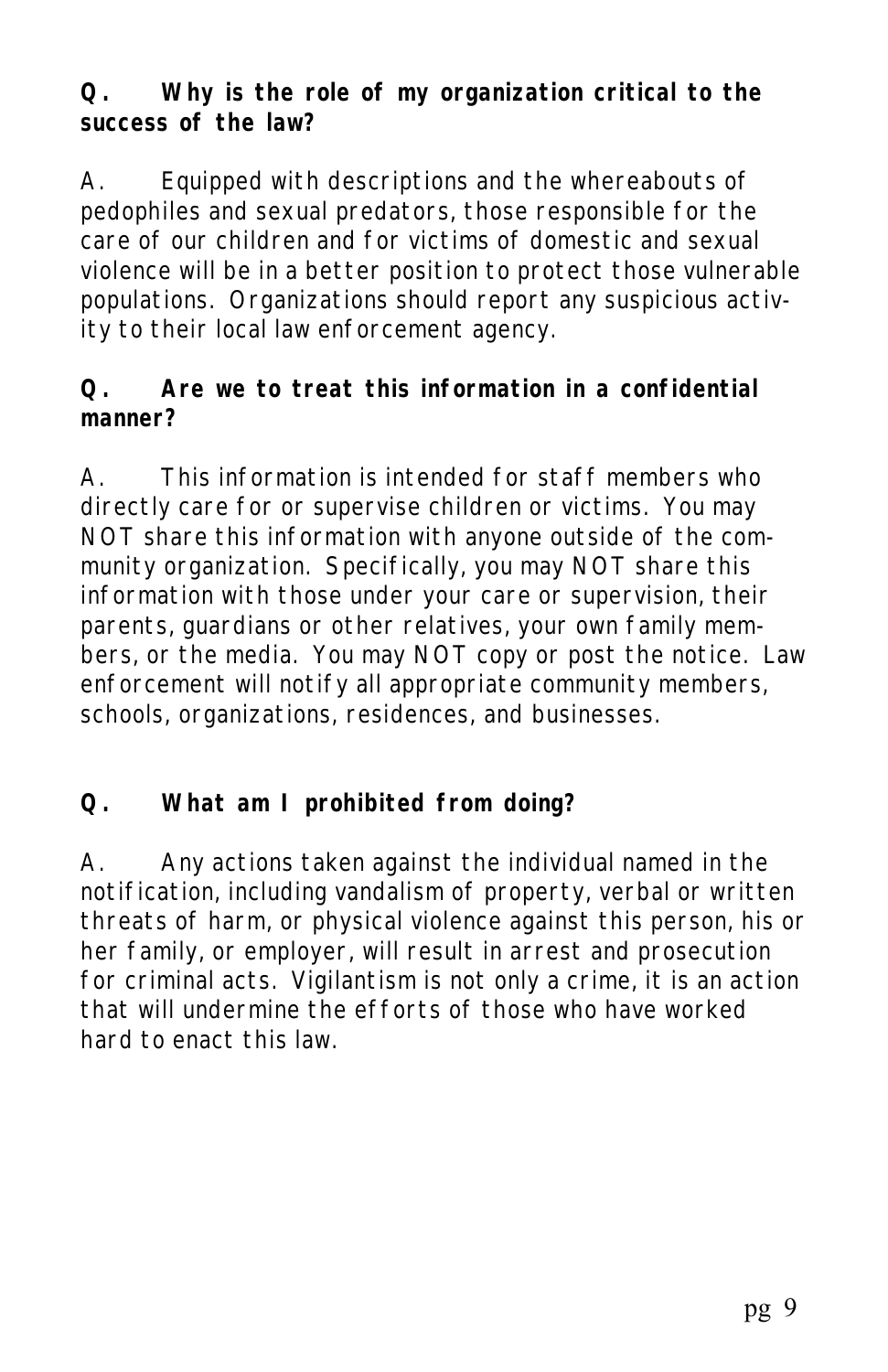## **Q. Why is the role of my organization critical to the success of the law?**

A. Equipped with descriptions and the whereabouts of pedophiles and sexual predators, those responsible for the care of our children and for victims of domestic and sexual violence will be in a better position to protect those vulnerable populations. Organizations should report any suspicious activity to their local law enforcement agency.

## **Q. Are we to treat this information in a confidential manner?**

A. This information is intended for staff members who directly care for or supervise children or victims. You may NOT share this information with anyone outside of the community organization. Specifically, you may NOT share this information with those under your care or supervision, their parents, guardians or other relatives, your own family members, or the media. You may NOT copy or post the notice. Law enforcement will notify all appropriate community members, schools, organizations, residences, and businesses.

## **Q. What am I prohibited from doing?**

A. Any actions taken against the individual named in the notification, including vandalism of property, verbal or written threats of harm, or physical violence against this person, his or her family, or employer, will result in arrest and prosecution for criminal acts. Vigilantism is not only a crime, it is an action that will undermine the efforts of those who have worked hard to enact this law.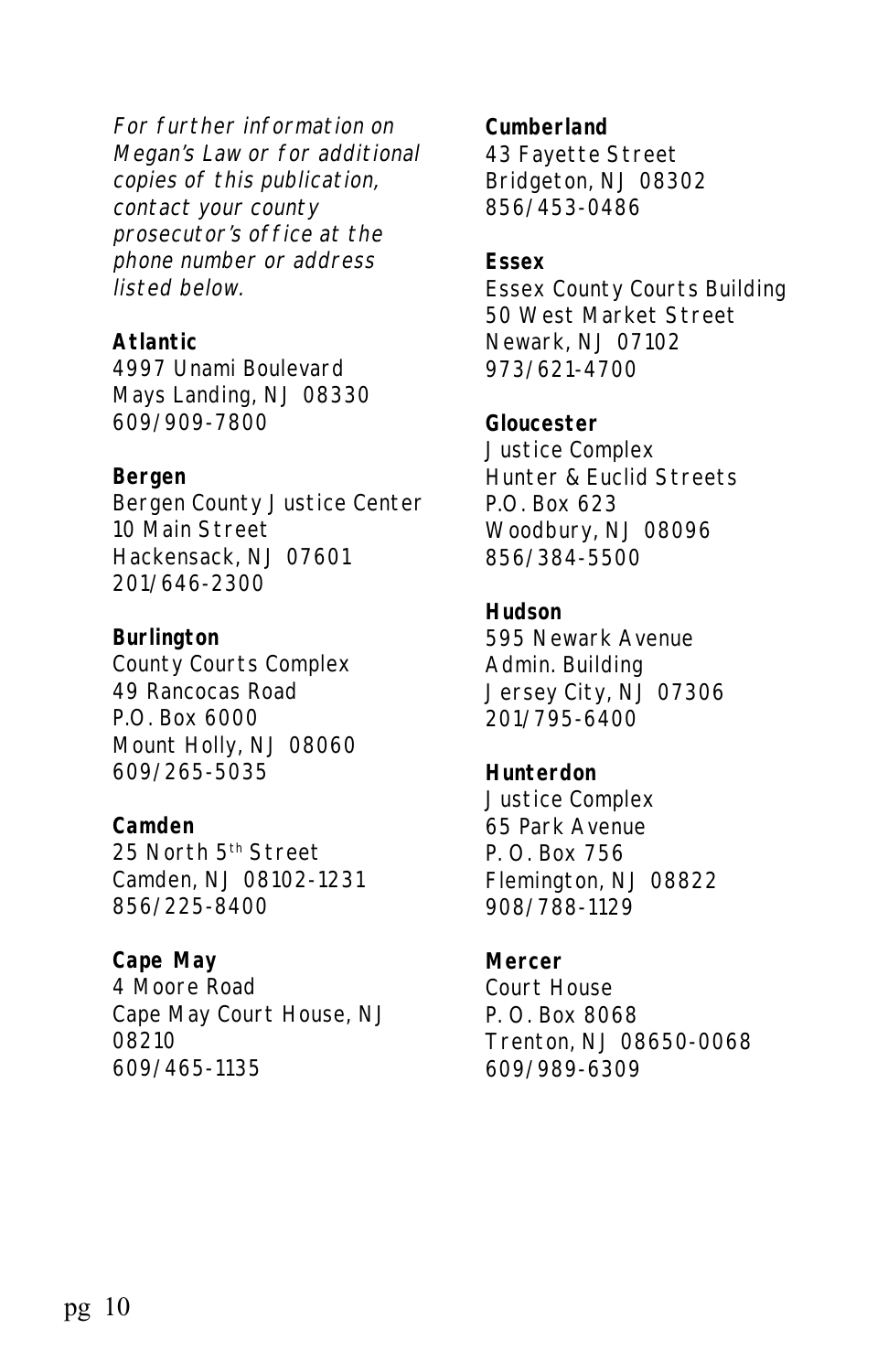For further information on Megan's Law or for additional copies of this publication, contact your county prosecutor's office at the phone number or address listed below.

#### **Atlantic**

4997 Unami Boulevard Mays Landing, NJ 08330 609/909-7800

#### **Bergen**

Bergen County Justice Center 10 Main Street Hackensack, NJ 07601 201/646-2300

#### **Burlington**

County Courts Complex 49 Rancocas Road P.O. Box 6000 Mount Holly, NJ 08060 609/265-5035

#### **Camden**

25 North 5th Street Camden, NJ 08102-1231 856/225-8400

#### **Cape May**

4 Moore Road Cape May Court House, NJ 08210 609/465-1135

#### **Cumberland**

43 Fayette Street Bridgeton, NJ 08302 856/453-0486

#### **Essex**

Essex County Courts Building 50 West Market Street Newark, NJ 07102 973/621-4700

#### **Gloucester**

Justice Complex Hunter & Euclid Streets P.O. Box 623 Woodbury, NJ 08096 856/384-5500

#### **Hudson**

595 Newark Avenue Admin. Building Jersey City, NJ 07306 201/795-6400

### **Hunterdon**

Justice Complex 65 Park Avenue P. O. Box 756 Flemington, NJ 08822 908/788-1129

#### **Mercer**

Court House P. O. Box 8068 Trenton, NJ 08650-0068 609/989-6309